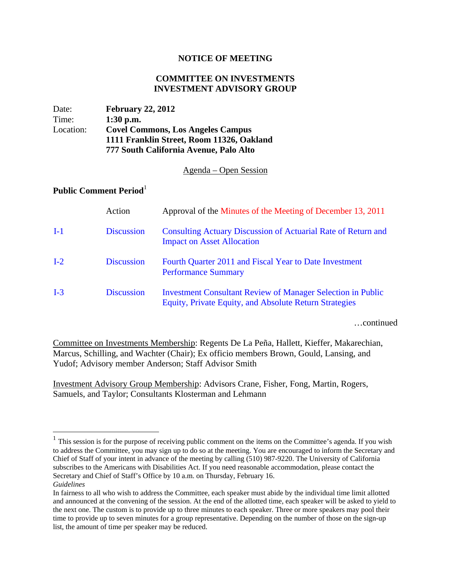## **NOTICE OF MEETING**

## **COMMITTEE ON INVESTMENTS INVESTMENT ADVISORY GROUP**

| Date:     | <b>February 22, 2012</b>                  |  |
|-----------|-------------------------------------------|--|
| Time:     | $1:30$ p.m.                               |  |
| Location: | <b>Covel Commons, Los Angeles Campus</b>  |  |
|           | 1111 Franklin Street, Room 11326, Oakland |  |
|           | 777 South California Avenue, Palo Alto    |  |

## Agenda – Open Session

## **Public Comment Period**<sup>1</sup>

1

|       | Action            | Approval of the Minutes of the Meeting of December 13, 2011                                                                  |
|-------|-------------------|------------------------------------------------------------------------------------------------------------------------------|
| $I-1$ | <b>Discussion</b> | Consulting Actuary Discussion of Actuarial Rate of Return and<br><b>Impact on Asset Allocation</b>                           |
| $I-2$ | <b>Discussion</b> | Fourth Quarter 2011 and Fiscal Year to Date Investment<br><b>Performance Summary</b>                                         |
| $I-3$ | <b>Discussion</b> | <b>Investment Consultant Review of Manager Selection in Public</b><br>Equity, Private Equity, and Absolute Return Strategies |

…continued

Committee on Investments Membership: Regents De La Peña, Hallett, Kieffer, Makarechian, Marcus, Schilling, and Wachter (Chair); Ex officio members Brown, Gould, Lansing, and Yudof; Advisory member Anderson; Staff Advisor Smith

Investment Advisory Group Membership: Advisors Crane, Fisher, Fong, Martin, Rogers, Samuels, and Taylor; Consultants Klosterman and Lehmann

 $<sup>1</sup>$  This session is for the purpose of receiving public comment on the items on the Committee's agenda. If you wish</sup> to address the Committee, you may sign up to do so at the meeting. You are encouraged to inform the Secretary and Chief of Staff of your intent in advance of the meeting by calling (510) 987-9220. The University of California subscribes to the Americans with Disabilities Act. If you need reasonable accommodation, please contact the Secretary and Chief of Staff's Office by 10 a.m. on Thursday, February 16. *Guidelines*

In fairness to all who wish to address the Committee, each speaker must abide by the individual time limit allotted and announced at the convening of the session. At the end of the allotted time, each speaker will be asked to yield to the next one. The custom is to provide up to three minutes to each speaker. Three or more speakers may pool their time to provide up to seven minutes for a group representative. Depending on the number of those on the sign-up list, the amount of time per speaker may be reduced.